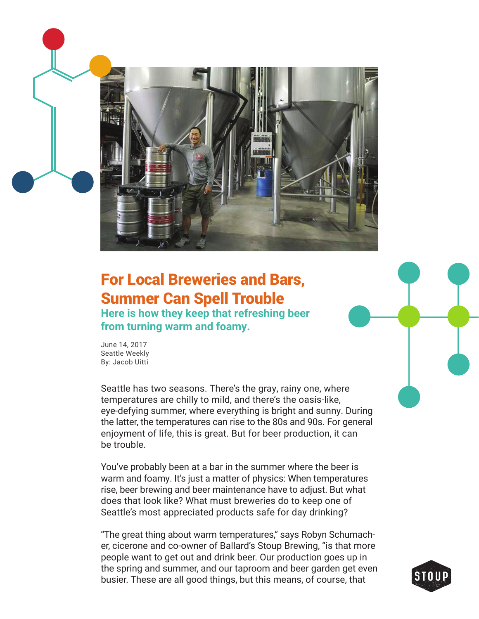

## For Local Breweries and Bars, Summer Can Spell Trouble

**Here is how they keep that refreshing beer from turning warm and foamy.**

June 14, 2017 Seattle Weekly By: Jacob Uitti

Seattle has two seasons. There's the gray, rainy one, where temperatures are chilly to mild, and there's the oasis-like, eye-defying summer, where everything is bright and sunny. During the latter, the temperatures can rise to the 80s and 90s. For general enjoyment of life, this is great. But for beer production, it can be trouble.

You've probably been at a bar in the summer where the beer is warm and foamy. It's just a matter of physics: When temperatures rise, beer brewing and beer maintenance have to adjust. But what does that look like? What must breweries do to keep one of Seattle's most appreciated products safe for day drinking?

"The great thing about warm temperatures," says Robyn Schumacher, cicerone and co-owner of Ballard's Stoup Brewing, "is that more people want to get out and drink beer. Our production goes up in the spring and summer, and our taproom and beer garden get even busier. These are all good things, but this means, of course, that